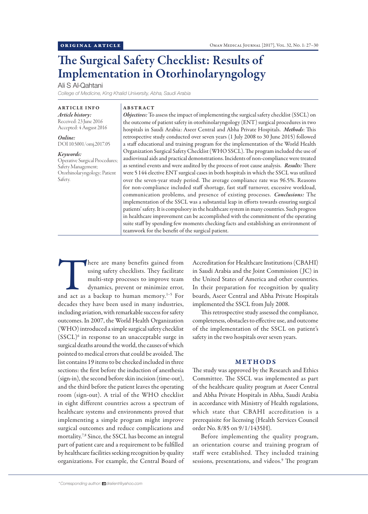# The Surgical Safety Checklist: Results of Implementation in Otorhinolaryngology

Ali S Al-Qahtani

*College of Medicine, King Khalid University, Abha, Saudi Arabia*

ARTICLE INFO *Article history:* Received: 23 June 2016 Accepted: 4 August 2016

*Online:* DOI 10.5001/omj.2017.05

### *Keywords:*

Operative Surgical Procedures; Safety Management; Otorhinolaryngology; Patient Safety.

# ABSTRACT

*Objectives:* To assess the impact of implementing the surgical safety checklist (SSCL) on the outcome of patient safety in otorhinolaryngology (ENT) surgical procedures in two hospitals in Saudi Arabia: Aseer Central and Abha Private Hospitals. *Methods*: This retrospective study conducted over seven years (1 July 2008 to 30 June 2015) followed a staff educational and training program for the implementation of the World Health Organization Surgical Safety Checklist (WHO SSCL). The program included the use of audiovisual aids and practical demonstrations. Incidents of non-compliance were treated as sentinel events and were audited by the process of root cause analysis. *Results:* There were 5 144 elective ENT surgical cases in both hospitals in which the SSCL was utilized over the seven-year study period. The average compliance rate was 96.5%. Reasons for non-compliance included staff shortage, fast staff turnover, excessive workload, communication problems, and presence of existing processes. *Conclusions:* The implementation of the SSCL was a substantial leap in efforts towards ensuring surgical patients' safety. It is compulsory in the healthcare system in many countries. Such progress in healthcare improvement can be accomplished with the commitment of the operating suite staff by spending few moments checking facts and establishing an environment of teamwork for the benefit of the surgical patient.

There are many benefits gained from using safety checklists. They facilitate multi-step processes to improve team dynamics, prevent or minimize error, and act as a backup to human memory.<sup>1-5</sup> For using safety checklists. They facilitate multi-step processes to improve team dynamics, prevent or minimize error, decades they have been used in many industries, including aviation, with remarkable success for safety outcomes. In 2007, the World Health Organization (WHO) introduced a simple surgical safety checklist (SSCL)6 in response to an unacceptable surge in surgical deaths around the world, the causes of which pointed to medical errors that could be avoided. The list contains 19 items to be checked included in three sections: the first before the induction of anesthesia (sign-in), the second before skin incision (time-out), and the third before the patient leaves the operating room (sign-out). A trial of the WHO checklist in eight different countries across a spectrum of healthcare systems and environments proved that implementing a simple program might improve surgical outcomes and reduce complications and mortality.7,8 Since, the SSCL has become an integral part of patient care and a requirement to be fulfilled by healthcare facilities seeking recognition by quality organizations. For example, the Central Board of

Accreditation for Healthcare Institutions (CBAHI) in Saudi Arabia and the Joint Commission ( JC) in the United States of America and other countries. In their preparation for recognition by quality boards, Aseer Central and Abha Private Hospitals implemented the SSCL from July 2008.

This retrospective study assessed the compliance, completeness, obstacles to effective use, and outcome of the implementation of the SSCL on patient's safety in the two hospitals over seven years.

## METHODS

The study was approved by the Research and Ethics Committee. The SSCL was implemented as part of the healthcare quality program at Aseer Central and Abha Private Hospitals in Abha, Saudi Arabia in accordance with Ministry of Health regulations, which state that CBAHI accreditation is a prerequisite for licensing (Health Services Council order No. 8/85 on 9/1/1435H).

Before implementing the quality program, an orientation course and training program of staff were established. They included training sessions, presentations, and videos.<sup>9</sup> The program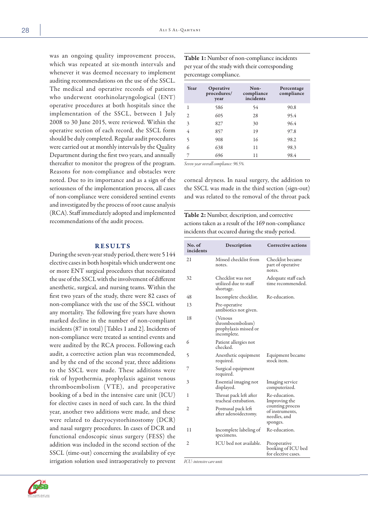was an ongoing quality improvement process, which was repeated at six-month intervals and whenever it was deemed necessary to implement auditing recommendations on the use of the SSCL. The medical and operative records of patients who underwent otorhinolaryngological (ENT) operative procedures at both hospitals since the implementation of the SSCL, between 1 July 2008 to 30 June 2015, were reviewed. Within the operative section of each record, the SSCL form should be duly completed. Regular audit procedures were carried out at monthly intervals by the Quality Department during the first two years, and annually thereafter to monitor the progress of the program. Reasons for non-compliance and obstacles were noted. Due to its importance and as a sign of the seriousness of the implementation process, all cases of non-compliance were considered sentinel events and investigated by the process of root cause analysis (RCA). Staff immediately adopted and implemented recommendations of the audit process.

## RESULTS

During the seven-year study period, there were 5 144 elective cases in both hospitals which underwent one or more ENT surgical procedures that necessitated the use of the SSCL with the involvement of different anesthetic, surgical, and nursing teams. Within the first two years of the study, there were 82 cases of non-compliance with the use of the SSCL without any mortality. The following five years have shown marked decline in the number of non-compliant incidents (87 in total) [Tables 1 and 2]. Incidents of non-compliance were treated as sentinel events and were audited by the RCA process. Following each audit, a corrective action plan was recommended, and by the end of the second year, three additions to the SSCL were made. These additions were risk of hypothermia, prophylaxis against venous thromboembolism (VTE), and preoperative booking of a bed in the intensive care unit (ICU) for elective cases in need of such care. In the third year, another two additions were made, and these were related to dacryocystorhinostomy (DCR) and nasal surgery procedures. In cases of DCR and functional endoscopic sinus surgery (FESS) the addition was included in the second section of the SSCL (time-out) concerning the availability of eye irrigation solution used intraoperatively to prevent

Table 1: Number of non-compliance incidents per year of the study with their corresponding percentage compliance.

| Year | Operative<br>procedures/<br>year | Non-<br>compliance<br>incidents | Percentage<br>compliance |
|------|----------------------------------|---------------------------------|--------------------------|
| 1    | 586                              | 54                              | 90.8                     |
| 2    | 605                              | 28                              | 95.4                     |
| 3    | 827                              | 30                              | 96.4                     |
| 4    | 857                              | 19                              | 97.8                     |
| 5    | 908                              | 16                              | 98.2                     |
| 6    | 638                              | 11                              | 98.3                     |
| 7    | 696                              | 11                              | 98.4                     |
|      | $\cdots$                         |                                 |                          |

*Seven-year overall compliance: 96.5%.*

corneal dryness. In nasal surgery, the addition to the SSCL was made in the third section (sign-out) and was related to the removal of the throat pack

Table 2: Number, description, and corrective actions taken as a result of the 169 non-compliance incidents that occured during the study period.

| No. of<br>incidents | Description                                                         | <b>Corrective actions</b>                                                                         |  |
|---------------------|---------------------------------------------------------------------|---------------------------------------------------------------------------------------------------|--|
| 21                  | Missed checklist from<br>notes.                                     | Checklist became<br>part of operative<br>notes.                                                   |  |
| 32                  | Checklist was not<br>utilized due to staff<br>shortage.             | Adequate staff each<br>time recommended.                                                          |  |
| 48                  | Incomplete checklist.                                               | Re-education.                                                                                     |  |
| 13                  | Pre-operative<br>antibiotics not given.                             |                                                                                                   |  |
| 18                  | (Venous<br>thromboembolism)<br>prophylaxis missed or<br>incomplete. |                                                                                                   |  |
| 6                   | Patient allergies not<br>checked.                                   |                                                                                                   |  |
| 5                   | Anesthetic equipment<br>required.                                   | Equipment became<br>stock item.                                                                   |  |
| 7                   | Surgical equipment<br>required.                                     |                                                                                                   |  |
| 3                   | Essential imaging not<br>displayed.                                 | Imaging service<br>computerized.                                                                  |  |
| 1                   | Throat pack left after<br>tracheal extubation.                      | Re-education.<br>Improving the<br>counting process<br>of instruments,<br>needles, and<br>sponges. |  |
| 2                   | Postnasal pack left<br>after adenoidectomy.                         |                                                                                                   |  |
| 11                  | Incomplete labeling of<br>specimens.                                | Re-education.                                                                                     |  |
| 2                   | ICU bed not available.                                              | Preoperative<br>booking of ICU bed<br>for elective cases.                                         |  |

*ICU: intensive care unit.*

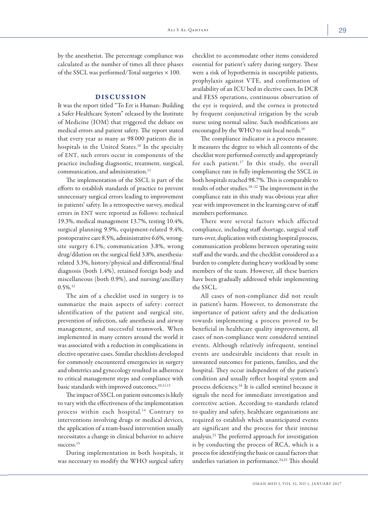by the anesthetist. The percentage compliance was calculated as the number of times all three phases of the SSCL was performed/Total surgeries  $\times$  100.

# DISCUSSION

It was the report titled "To Err is Human: Building a Safer Healthcare System" released by the Institute of Medicine (IOM) that triggered the debate on medical errors and patient safety. The report stated that every year as many as 98 000 patients die in hospitals in the United States.<sup>10</sup> In the specialty of ENT, such errors occur in components of the practice including diagnostic, treatment, surgical, communication, and administration.<sup>11</sup>

The implementation of the SSCL is part of the efforts to establish standards of practice to prevent unnecessary surgical errors leading to improvement in patients' safety. In a retrospective survey, medical errors in ENT were reported as follows: technical 19.3%, medical management 13.7%, testing 10.4%, surgical planning 9.9%, equipment-related 9.4%, postoperative care 8.5%, administrative 6.6%, wrongsite surgery 6.1%, communication 3.8%, wrong drug/dilution on the surgical field 3.8%, anesthesiarelated 3.3%, history/physical and differential/final diagnosis (both 1.4%), retained foreign body and miscellaneous (both 0.9%), and nursing/ancillary  $0.5\%$ <sup>12</sup>

The aim of a checklist used in surgery is to summarize the main aspects of safety: correct identification of the patient and surgical site, prevention of infection, safe anesthesia and airway management, and successful teamwork. When implemented in many centers around the world it was associated with a reduction in complications in elective operative cases. Similar checklists developed for commonly encountered emergencies in surgery and obstetrics and gynecology resulted in adherence to critical management steps and compliance with basic standards with improved outcomes.<sup>10,11,13</sup>

The impact of SSCL on patient outcomes is likely to vary with the effectiveness of the implementation process within each hospital.<sup>14</sup> Contrary to interventions involving drugs or medical devices, the application of a team-based intervention usually necessitates a change in clinical behavior to achieve success.<sup>15</sup>

During implementation in both hospitals, it was necessary to modify the WHO surgical safety

checklist to accommodate other items considered essential for patient's safety during surgery. These were a risk of hypothermia in susceptible patients, prophylaxis against VTE, and confirmation of availability of an ICU bed in elective cases. In DCR and FESS operations, continuous observation of the eye is required, and the cornea is protected by frequent conjunctival irrigation by the scrub nurse using normal saline. Such modifications are encouraged by the WHO to suit local needs.16

The compliance indicator is a process measure. It measures the degree to which all contents of the checklist were performed correctly and appropriately for each patient.<sup>17</sup> In this study, the overall compliance rate in fully implementing the SSCL in both hospitals reached 98.7%. This is comparable to results of other studies.18–22 The improvement in the compliance rate in this study was obvious year after year with improvement in the learning curve of staff members performance.

There were several factors which affected compliance, including staff shortage, surgical staff turn-over, duplication with existing hospital process, communication problems between operating suite staff and the wards, and the checklist considered as a burden to complete during heavy workload by some members of the team. However, all these barriers have been gradually addressed while implementing the SSCL.

All cases of non-compliance did not result in patient's harm. However, to demonstrate the importance of patient safety and the dedication towards implementing a process proved to be beneficial in healthcare quality improvement, all cases of non-compliance were considered sentinel events. Although relatively infrequent, sentinel events are undesirable incidents that result in unwanted outcomes for patients, families, and the hospital. They occur independent of the patient's condition and usually reflect hospital system and process deficiency.16 It is called sentinel because it signals the need for immediate investigation and corrective action. According to standards related to quality and safety, healthcare organizations are required to establish which unanticipated events are significant and the process for their intense analysis.23 The preferred approach for investigation is by conducting the process of RCA, which is a process for identifying the basic or causal factors that underlies variation in performance.<sup>24,25</sup> This should